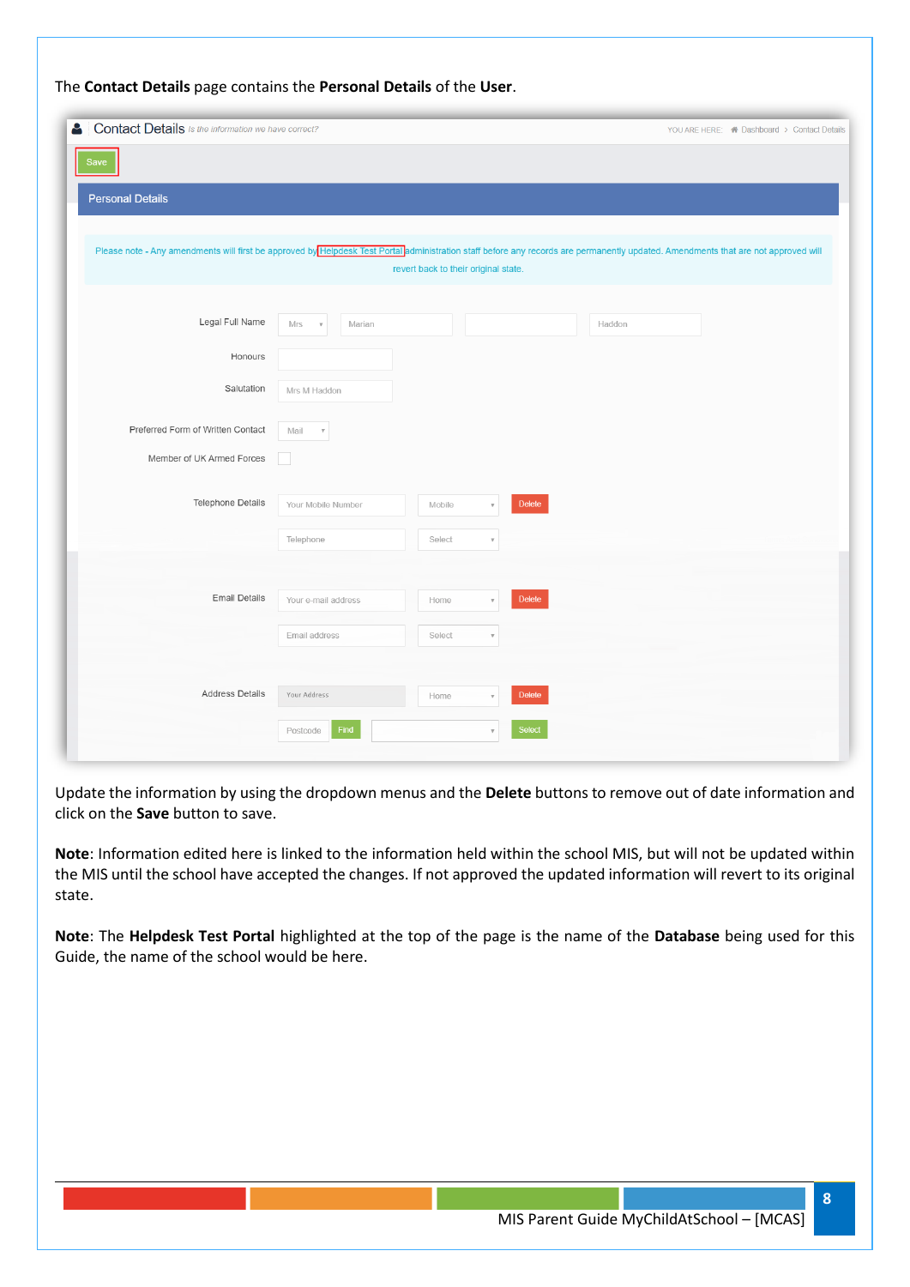| Contact Details Is the information we have correct?                                                                                                                                |                                            |                                      |               |        | YOU ARE HERE: <a>A Dashboard<br/>&gt;&gt;&gt; Contact Details</a> |
|------------------------------------------------------------------------------------------------------------------------------------------------------------------------------------|--------------------------------------------|--------------------------------------|---------------|--------|-------------------------------------------------------------------|
|                                                                                                                                                                                    |                                            |                                      |               |        |                                                                   |
| Save                                                                                                                                                                               |                                            |                                      |               |        |                                                                   |
| <b>Personal Details</b>                                                                                                                                                            |                                            |                                      |               |        |                                                                   |
|                                                                                                                                                                                    |                                            |                                      |               |        |                                                                   |
| Please note - Any amendments will first be approved by Helpdesk Test Portal administration staff before any records are permanently updated. Amendments that are not approved will |                                            |                                      |               |        |                                                                   |
|                                                                                                                                                                                    |                                            | revert back to their original state. |               |        |                                                                   |
|                                                                                                                                                                                    |                                            |                                      |               |        |                                                                   |
| Legal Full Name                                                                                                                                                                    | Mrs<br>Marian<br>$\boldsymbol{\mathrm{v}}$ |                                      |               | Haddon |                                                                   |
| Honours                                                                                                                                                                            |                                            |                                      |               |        |                                                                   |
|                                                                                                                                                                                    |                                            |                                      |               |        |                                                                   |
| Salutation                                                                                                                                                                         | Mrs M Haddon                               |                                      |               |        |                                                                   |
| Preferred Form of Written Contact                                                                                                                                                  | Mail<br>$\mathbf{v}$                       |                                      |               |        |                                                                   |
| Member of UK Armed Forces                                                                                                                                                          |                                            |                                      |               |        |                                                                   |
|                                                                                                                                                                                    |                                            |                                      |               |        |                                                                   |
| Telephone Details                                                                                                                                                                  | Your Mobile Number                         | Mobile                               | <b>Delete</b> |        |                                                                   |
|                                                                                                                                                                                    | Telephone                                  | Select                               |               |        |                                                                   |
|                                                                                                                                                                                    |                                            |                                      |               |        |                                                                   |
|                                                                                                                                                                                    |                                            |                                      |               |        |                                                                   |
| <b>Email Details</b>                                                                                                                                                               | Your e-mail address                        | Home                                 | Delete        |        |                                                                   |
|                                                                                                                                                                                    | Email address                              | Select                               |               |        |                                                                   |
|                                                                                                                                                                                    |                                            |                                      |               |        |                                                                   |
|                                                                                                                                                                                    |                                            |                                      |               |        |                                                                   |
| Address Details                                                                                                                                                                    | Your Address                               |                                      | Delete        |        |                                                                   |

Update the information by using the dropdown menus and the **Delete** buttons to remove out of date information and click on the **Save** button to save.

**Note**: Information edited here is linked to the information held within the school MIS, but will not be updated within the MIS until the school have accepted the changes. If not approved the updated information will revert to its original state.

**Note**: The **Helpdesk Test Portal** highlighted at the top of the page is the name of the **Database** being used for this Guide, the name of the school would be here.